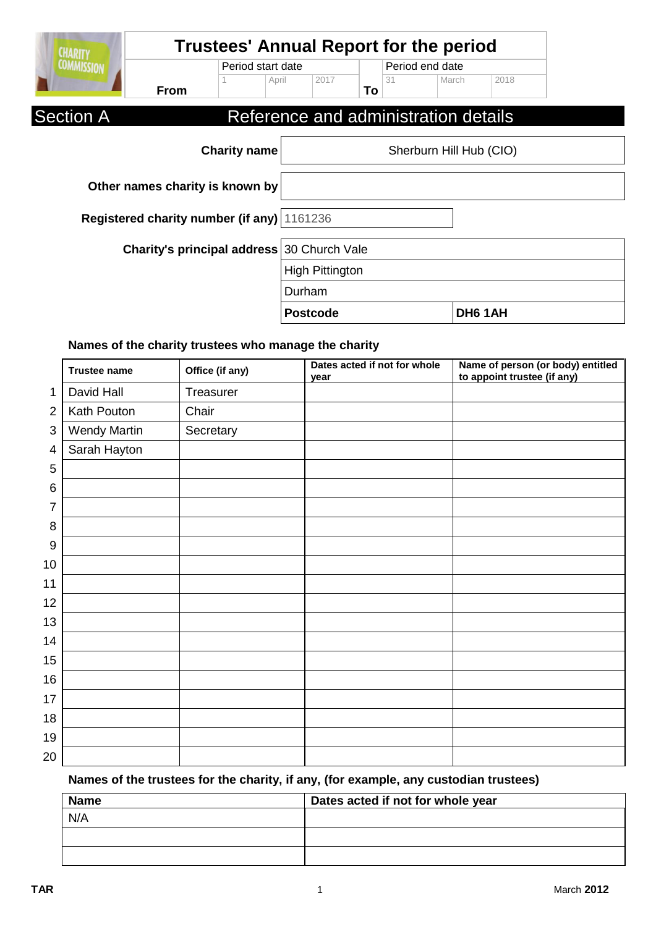| <b>CHARITY</b>    |                                            | <b>Trustees' Annual Report for the period</b> |                        |                 |    |                 |                                      |         |  |  |
|-------------------|--------------------------------------------|-----------------------------------------------|------------------------|-----------------|----|-----------------|--------------------------------------|---------|--|--|
| <b>COMMISSION</b> |                                            | Period start date                             |                        |                 |    | Period end date |                                      |         |  |  |
|                   | <b>From</b>                                |                                               | April                  | 2017            | To | 31              | March                                | 2018    |  |  |
| <b>Section A</b>  |                                            |                                               |                        |                 |    |                 | Reference and administration details |         |  |  |
|                   |                                            | <b>Charity name</b>                           |                        |                 |    |                 | Sherburn Hill Hub (CIO)              |         |  |  |
|                   | Other names charity is known by            |                                               |                        |                 |    |                 |                                      |         |  |  |
|                   | Registered charity number (if any) 1161236 |                                               |                        |                 |    |                 |                                      |         |  |  |
|                   | Charity's principal address 30 Church Vale |                                               |                        |                 |    |                 |                                      |         |  |  |
|                   |                                            |                                               | <b>High Pittington</b> |                 |    |                 |                                      |         |  |  |
|                   |                                            |                                               | Durham                 |                 |    |                 |                                      |         |  |  |
|                   |                                            |                                               |                        | <b>Postcode</b> |    |                 |                                      | DH6 1AH |  |  |

## **Names of the charity trustees who manage the charity**

|                | <b>Trustee name</b> | Office (if any) | Dates acted if not for whole<br>year | Name of person (or body) entitled<br>to appoint trustee (if any) |
|----------------|---------------------|-----------------|--------------------------------------|------------------------------------------------------------------|
| 1              | David Hall          | Treasurer       |                                      |                                                                  |
| $\overline{2}$ | Kath Pouton         | Chair           |                                      |                                                                  |
| 3              | <b>Wendy Martin</b> | Secretary       |                                      |                                                                  |
| 4              | Sarah Hayton        |                 |                                      |                                                                  |
| 5              |                     |                 |                                      |                                                                  |
| 6              |                     |                 |                                      |                                                                  |
| 7              |                     |                 |                                      |                                                                  |
| 8              |                     |                 |                                      |                                                                  |
| 9              |                     |                 |                                      |                                                                  |
| 10             |                     |                 |                                      |                                                                  |
| 11             |                     |                 |                                      |                                                                  |
| 12             |                     |                 |                                      |                                                                  |
| 13             |                     |                 |                                      |                                                                  |
| 14             |                     |                 |                                      |                                                                  |
| 15             |                     |                 |                                      |                                                                  |
| 16             |                     |                 |                                      |                                                                  |
| 17             |                     |                 |                                      |                                                                  |
| 18             |                     |                 |                                      |                                                                  |
| 19             |                     |                 |                                      |                                                                  |
| 20             |                     |                 |                                      |                                                                  |

# **Names of the trustees for the charity, if any, (for example, any custodian trustees)**

| <b>Name</b> | Dates acted if not for whole year |
|-------------|-----------------------------------|
| N/A         |                                   |
|             |                                   |
|             |                                   |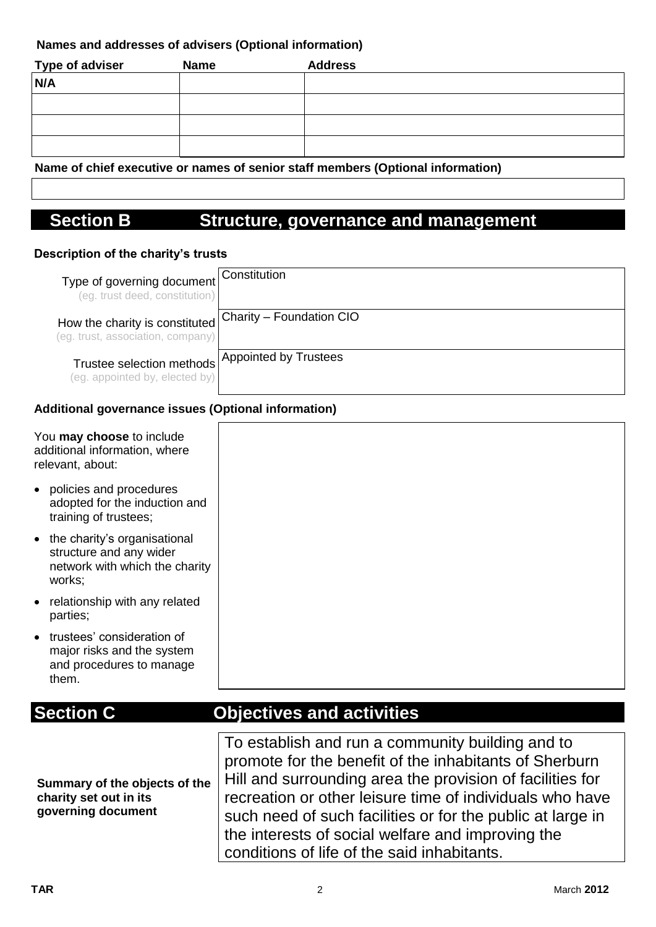## **Names and addresses of advisers (Optional information)**

| <b>Type of adviser</b> | <b>Name</b> | <b>Address</b> |
|------------------------|-------------|----------------|
| N/A                    |             |                |
|                        |             |                |
|                        |             |                |
|                        |             |                |

**Name of chief executive or names of senior staff members (Optional information)**

# **Section B Structure, governance and management**

## **Description of the charity's trusts**

| Type of governing document<br>(eg. trust deed, constitution)             | Constitution                 |
|--------------------------------------------------------------------------|------------------------------|
| How the charity is constituted<br>(eg. trust, association, company)      | Charity - Foundation CIO     |
| Trustee selection methods <sup>1</sup><br>(eg. appointed by, elected by) | <b>Appointed by Trustees</b> |

## **Additional governance issues (Optional information)**

| You <b>may choose</b> to include<br>additional information, where<br>relevant, about:                 |                                                  |
|-------------------------------------------------------------------------------------------------------|--------------------------------------------------|
| policies and procedures<br>adopted for the induction and<br>training of trustees;                     |                                                  |
| • the charity's organisational<br>structure and any wider<br>network with which the charity<br>works; |                                                  |
| relationship with any related<br>$\bullet$<br>parties;                                                |                                                  |
| trustees' consideration of<br>major risks and the system<br>and procedures to manage<br>them.         |                                                  |
|                                                                                                       |                                                  |
| <b>Section C</b>                                                                                      | <b>Objectives and activities</b>                 |
|                                                                                                       |                                                  |
|                                                                                                       | To establish and run a community building and to |

**Summary of the objects of the charity set out in its governing document**

promote for the benefit of the inhabitants of Sherburn Hill and surrounding area the provision of facilities for recreation or other leisure time of individuals who have such need of such facilities or for the public at large in the interests of social welfare and improving the conditions of life of the said inhabitants.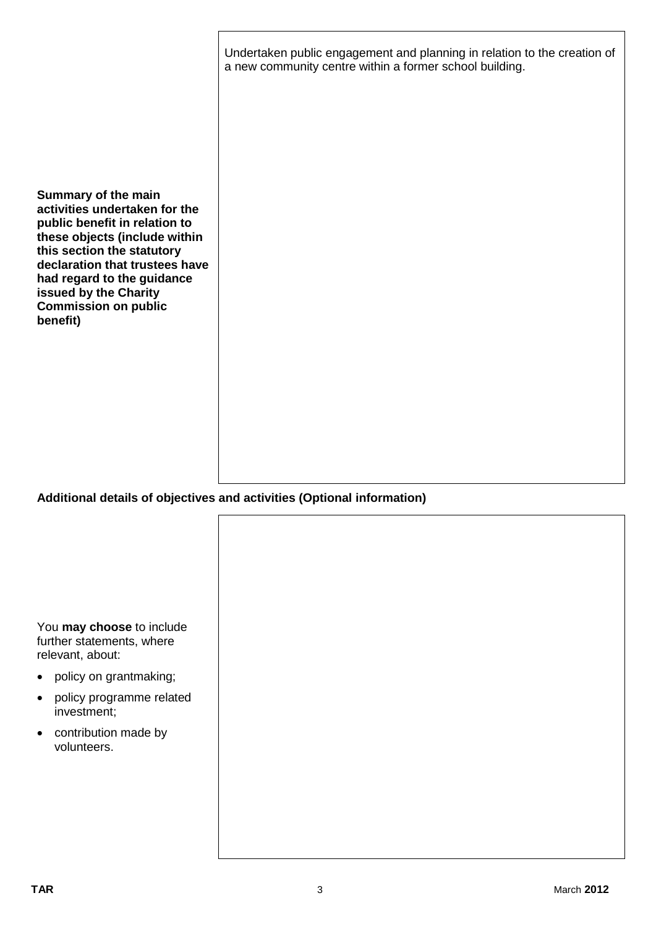|                                                                                                                                                                                                                                                                                          | Undertaken public engagement and planning in relation to the creation of<br>a new community centre within a former school building. |
|------------------------------------------------------------------------------------------------------------------------------------------------------------------------------------------------------------------------------------------------------------------------------------------|-------------------------------------------------------------------------------------------------------------------------------------|
| Summary of the main<br>activities undertaken for the<br>public benefit in relation to<br>these objects (include within<br>this section the statutory<br>declaration that trustees have<br>had regard to the guidance<br>issued by the Charity<br><b>Commission on public</b><br>benefit) |                                                                                                                                     |

## **Additional details of objectives and activities (Optional information)**

|           | You may choose to include<br>further statements, where |
|-----------|--------------------------------------------------------|
| $\bullet$ | relevant, about:<br>policy on grantmaking;             |
| $\bullet$ | policy programme related<br>investment;                |
| $\bullet$ | contribution made by<br>volunteers.                    |
|           |                                                        |
|           |                                                        |
|           |                                                        |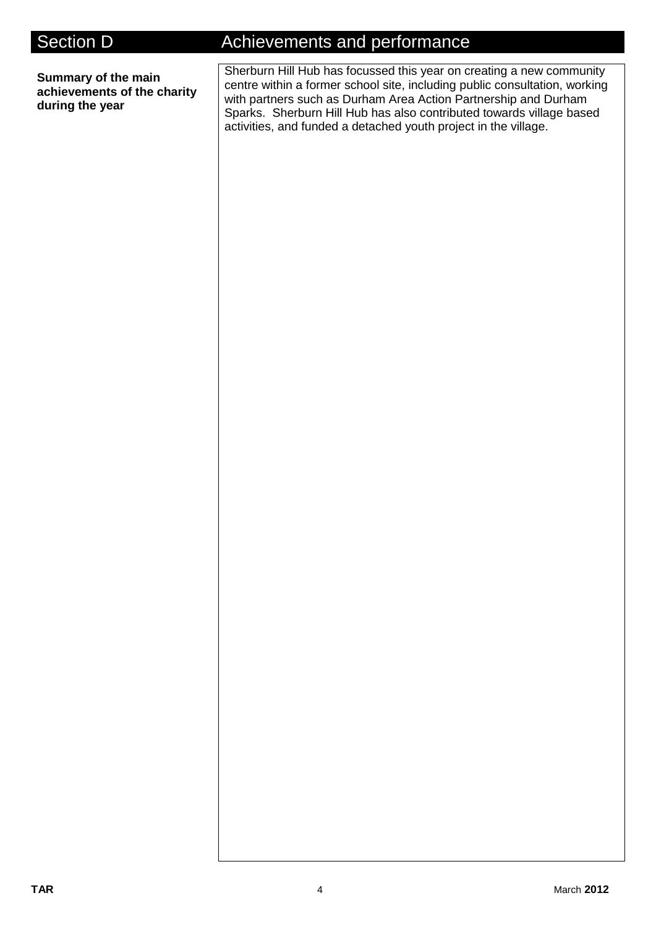**Summary of the main achievements of the charity during the year**

# Section D **Achievements and performance**

Sherburn Hill Hub has focussed this year on creating a new community centre within a former school site, including public consultation, working with partners such as Durham Area Action Partnership and Durham Sparks. Sherburn Hill Hub has also contributed towards village based activities, and funded a detached youth project in the village.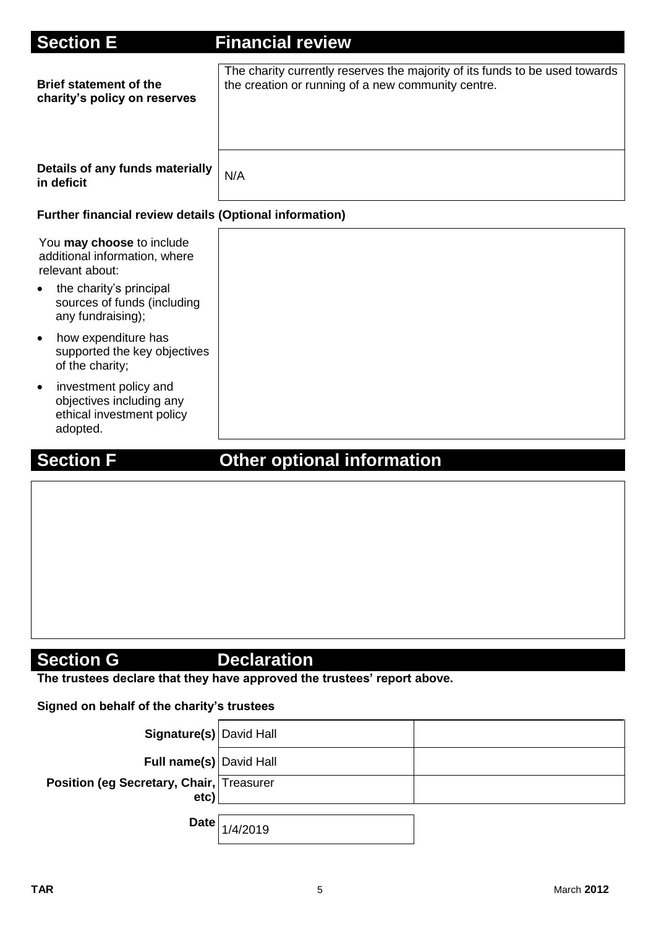| <b>Section E</b>                                                                                        | <b>Financial review</b>                                                                                                           |
|---------------------------------------------------------------------------------------------------------|-----------------------------------------------------------------------------------------------------------------------------------|
| <b>Brief statement of the</b><br>charity's policy on reserves                                           | The charity currently reserves the majority of its funds to be used towards<br>the creation or running of a new community centre. |
| Details of any funds materially<br>in deficit                                                           | N/A                                                                                                                               |
| Further financial review details (Optional information)                                                 |                                                                                                                                   |
| You may choose to include<br>additional information, where<br>relevant about:                           |                                                                                                                                   |
| the charity's principal<br>sources of funds (including<br>any fundraising);                             |                                                                                                                                   |
| how expenditure has<br>$\bullet$<br>supported the key objectives<br>of the charity;                     |                                                                                                                                   |
| investment policy and<br>$\bullet$<br>objectives including any<br>ethical investment policy<br>adopted. |                                                                                                                                   |

# **Section F Other optional information**

# **Section G** Declaration

**The trustees declare that they have approved the trustees' report above.** 

## **Signed on behalf of the charity's trustees**

| Signature(s) David Hall                          |                       |  |
|--------------------------------------------------|-----------------------|--|
| Full name(s) David Hall                          |                       |  |
| Position (eg Secretary, Chair, Treasurer<br>etc) |                       |  |
|                                                  | Date $\big  1/4/2019$ |  |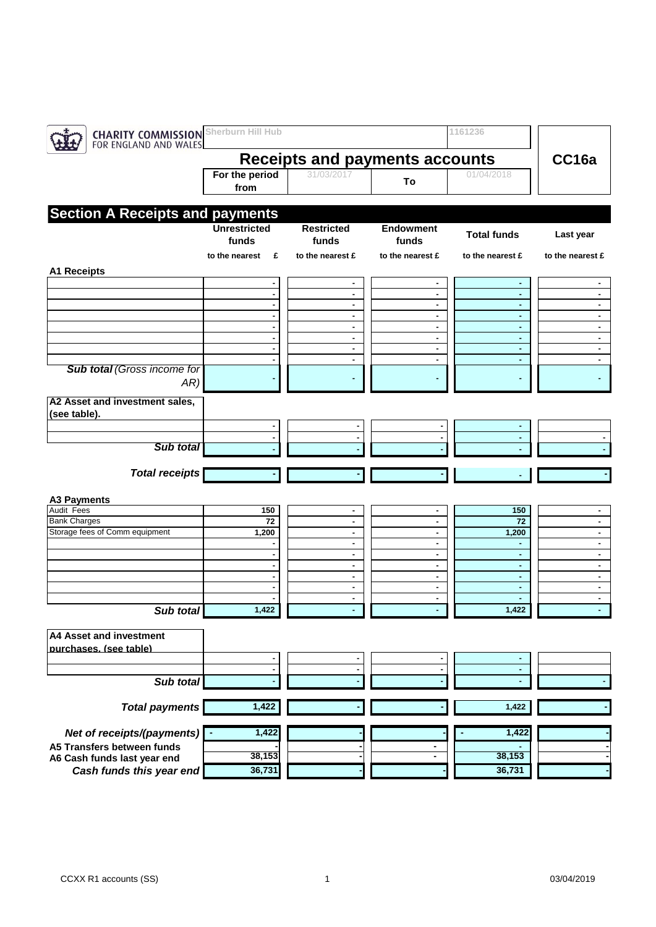| <b>CHARITY COMMISSION</b><br>FOR ENGLAND AND WALES | Sherburn Hill Hub            |                            |                           | 1161236            |                  |
|----------------------------------------------------|------------------------------|----------------------------|---------------------------|--------------------|------------------|
| <b>Receipts and payments accounts</b>              |                              |                            |                           |                    |                  |
|                                                    | For the period<br>from       | 31/03/2017                 | To                        | 01/04/2018         |                  |
| <b>Section A Receipts and payments</b>             |                              |                            |                           |                    |                  |
|                                                    | <b>Unrestricted</b><br>funds | <b>Restricted</b><br>funds | <b>Endowment</b><br>funds | <b>Total funds</b> | Last year        |
|                                                    | to the nearest<br>£          | to the nearest £           | to the nearest £          | to the nearest £   | to the nearest £ |
| <b>A1 Receipts</b>                                 |                              |                            |                           |                    |                  |
|                                                    | $\blacksquare$               | $\blacksquare$<br>٠        | ٠<br>٠                    | ٠<br>٠             | ٠                |
|                                                    | ä,                           | ٠                          | ٠                         | $\blacksquare$     | $\sim$           |
|                                                    |                              | ٠                          | ٠                         | ٠                  | ٠                |
|                                                    |                              | ٠                          | ۰                         | ٠                  | $\sim$           |
|                                                    |                              | $\blacksquare$             | $\blacksquare$            | ×.                 | $\blacksquare$   |
|                                                    |                              | ۰<br>٠                     | ٠<br>٠                    | ٠<br>٠             | ٠<br>٠           |
| <b>Sub total (Gross income for</b>                 |                              |                            |                           |                    |                  |
| AR)                                                |                              |                            |                           |                    |                  |
| A2 Asset and investment sales,                     |                              |                            |                           |                    |                  |
| (see table).                                       |                              |                            |                           |                    |                  |
|                                                    | ٠                            | ٠                          | ٠                         |                    |                  |
|                                                    | $\blacksquare$               | ٠                          | $\blacksquare$            | ÷.                 |                  |
| Sub total                                          |                              |                            |                           |                    |                  |
|                                                    |                              |                            |                           |                    |                  |
| <b>Total receipts</b>                              |                              |                            |                           |                    |                  |
|                                                    |                              |                            |                           |                    |                  |
| <b>A3 Payments</b>                                 |                              |                            |                           |                    |                  |
| Audit Fees<br><b>Bank Charges</b>                  | 150<br>72                    | ۰<br>٠                     | ٠<br>٠.                   | 150<br>72          | $\blacksquare$   |
| Storage fees of Comm equipment                     | 1,200                        | $\blacksquare$             | ٠                         | 1,200              | $\blacksquare$   |
|                                                    |                              | ٠                          | ۰.                        |                    | ٠                |
|                                                    |                              | $\blacksquare$             | ٠                         | ٠                  | $\blacksquare$   |
|                                                    |                              | $\blacksquare$             | ٠                         | ٠                  | ٠                |
|                                                    |                              | ٠                          | ٠                         | ٠                  | ٠                |
|                                                    |                              | $\blacksquare$             | ٠                         | ٠                  | ٠                |
| Sub total                                          | 1,422                        | $\blacksquare$<br>٠        | ٠<br>٠                    | 1,422              | ٠                |
|                                                    |                              |                            |                           |                    |                  |
| A4 Asset and investment                            |                              |                            |                           |                    |                  |
| purchases. (see table)                             |                              |                            |                           |                    |                  |
|                                                    |                              |                            |                           |                    |                  |
| Sub total                                          | $\blacksquare$               |                            | $\blacksquare$            |                    |                  |
|                                                    |                              |                            |                           |                    |                  |
| <b>Total payments</b>                              | 1,422                        |                            |                           | 1,422              |                  |
| Net of receipts/(payments)                         | 1,422                        |                            |                           | 1,422              |                  |
| A5 Transfers between funds                         |                              |                            | ٠                         |                    |                  |
| A6 Cash funds last year end                        | 38,153                       |                            |                           | 38,153             |                  |
| Cash funds this year end                           | 36,731                       |                            |                           | 36,731             |                  |